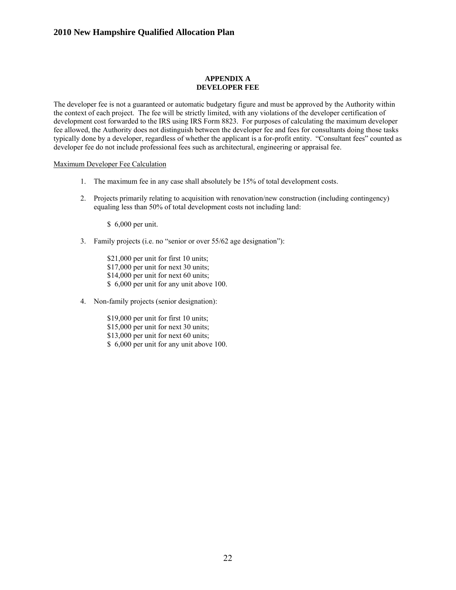#### **APPENDIX A DEVELOPER FEE**

The developer fee is not a guaranteed or automatic budgetary figure and must be approved by the Authority within the context of each project. The fee will be strictly limited, with any violations of the developer certification of development cost forwarded to the IRS using IRS Form 8823. For purposes of calculating the maximum developer fee allowed, the Authority does not distinguish between the developer fee and fees for consultants doing those tasks typically done by a developer, regardless of whether the applicant is a for-profit entity. "Consultant fees" counted as developer fee do not include professional fees such as architectural, engineering or appraisal fee.

#### Maximum Developer Fee Calculation

- 1. The maximum fee in any case shall absolutely be 15% of total development costs.
- 2. Projects primarily relating to acquisition with renovation/new construction (including contingency) equaling less than 50% of total development costs not including land:

\$ 6,000 per unit.

3. Family projects (i.e. no "senior or over 55/62 age designation"):

\$21,000 per unit for first 10 units; \$17,000 per unit for next 30 units; \$14,000 per unit for next 60 units; \$ 6,000 per unit for any unit above 100.

4. Non-family projects (senior designation):

\$19,000 per unit for first 10 units; \$15,000 per unit for next 30 units; \$13,000 per unit for next 60 units; \$ 6,000 per unit for any unit above 100.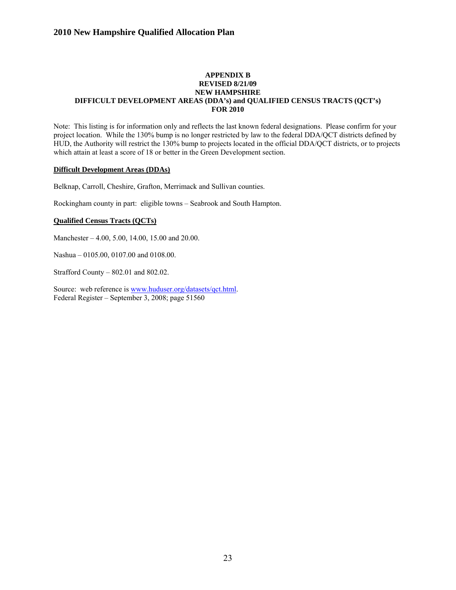## **APPENDIX B REVISED 8/21/09 NEW HAMPSHIRE DIFFICULT DEVELOPMENT AREAS (DDA's) and QUALIFIED CENSUS TRACTS (QCT's) FOR 2010**

Note: This listing is for information only and reflects the last known federal designations. Please confirm for your project location. While the 130% bump is no longer restricted by law to the federal DDA/QCT districts defined by HUD, the Authority will restrict the 130% bump to projects located in the official DDA/QCT districts, or to projects which attain at least a score of 18 or better in the Green Development section.

#### **Difficult Development Areas (DDAs)**

Belknap, Carroll, Cheshire, Grafton, Merrimack and Sullivan counties.

Rockingham county in part: eligible towns – Seabrook and South Hampton.

## **Qualified Census Tracts (QCTs)**

Manchester – 4.00, 5.00, 14.00, 15.00 and 20.00.

Nashua – 0105.00, 0107.00 and 0108.00.

Strafford County – 802.01 and 802.02.

Source: web reference is [www.huduser.org/datasets/qct.html](http://www.huduser.org/datasets/qct.html). Federal Register – September 3, 2008; page 51560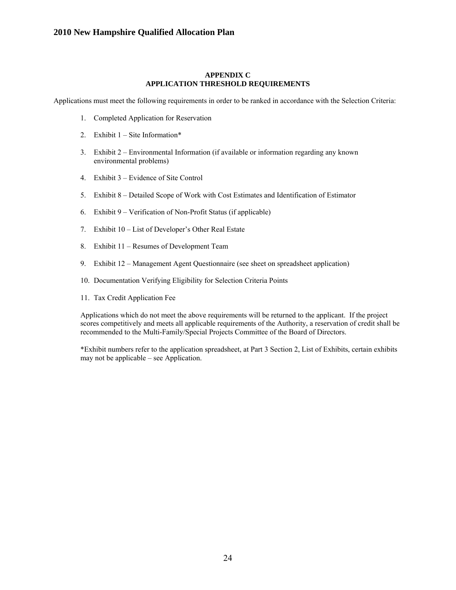#### **APPENDIX C APPLICATION THRESHOLD REQUIREMENTS**

Applications must meet the following requirements in order to be ranked in accordance with the Selection Criteria:

- 1. Completed Application for Reservation
- 2. Exhibit 1 Site Information\*
- 3. Exhibit 2 Environmental Information (if available or information regarding any known environmental problems)
- 4. Exhibit 3 Evidence of Site Control
- 5. Exhibit 8 Detailed Scope of Work with Cost Estimates and Identification of Estimator
- 6. Exhibit 9 Verification of Non-Profit Status (if applicable)
- 7. Exhibit 10 List of Developer's Other Real Estate
- 8. Exhibit 11 Resumes of Development Team
- 9. Exhibit 12 Management Agent Questionnaire (see sheet on spreadsheet application)
- 10. Documentation Verifying Eligibility for Selection Criteria Points
- 11. Tax Credit Application Fee

Applications which do not meet the above requirements will be returned to the applicant. If the project scores competitively and meets all applicable requirements of the Authority, a reservation of credit shall be recommended to the Multi-Family/Special Projects Committee of the Board of Directors.

\*Exhibit numbers refer to the application spreadsheet, at Part 3 Section 2, List of Exhibits, certain exhibits may not be applicable – see Application.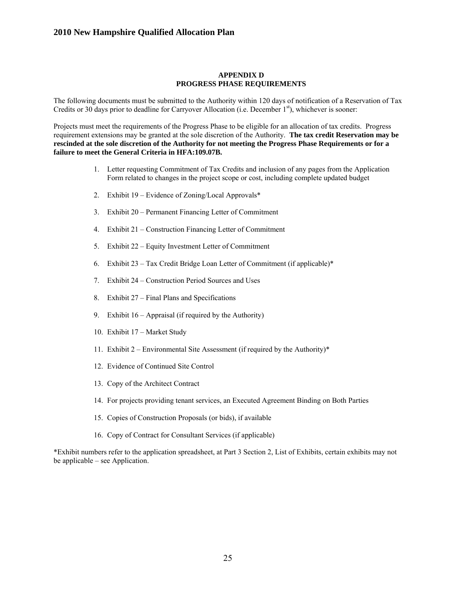#### **APPENDIX D PROGRESS PHASE REQUIREMENTS**

The following documents must be submitted to the Authority within 120 days of notification of a Reservation of Tax Credits or 30 days prior to deadline for Carryover Allocation (i.e. December  $1<sup>st</sup>$ ), whichever is sooner:

Projects must meet the requirements of the Progress Phase to be eligible for an allocation of tax credits. Progress requirement extensions may be granted at the sole discretion of the Authority. **The tax credit Reservation may be rescinded at the sole discretion of the Authority for not meeting the Progress Phase Requirements or for a failure to meet the General Criteria in HFA:109.07B.**

- 1. Letter requesting Commitment of Tax Credits and inclusion of any pages from the Application Form related to changes in the project scope or cost, including complete updated budget
- 2. Exhibit 19 Evidence of Zoning/Local Approvals\*
- 3. Exhibit 20 Permanent Financing Letter of Commitment
- 4. Exhibit 21 Construction Financing Letter of Commitment
- 5. Exhibit 22 Equity Investment Letter of Commitment
- 6. Exhibit 23 Tax Credit Bridge Loan Letter of Commitment (if applicable)\*
- 7. Exhibit 24 Construction Period Sources and Uses
- 8. Exhibit 27 Final Plans and Specifications
- 9. Exhibit 16 Appraisal (if required by the Authority)
- 10. Exhibit 17 Market Study
- 11. Exhibit 2 Environmental Site Assessment (if required by the Authority)\*
- 12. Evidence of Continued Site Control
- 13. Copy of the Architect Contract
- 14. For projects providing tenant services, an Executed Agreement Binding on Both Parties
- 15. Copies of Construction Proposals (or bids), if available
- 16. Copy of Contract for Consultant Services (if applicable)

\*Exhibit numbers refer to the application spreadsheet, at Part 3 Section 2, List of Exhibits, certain exhibits may not be applicable – see Application.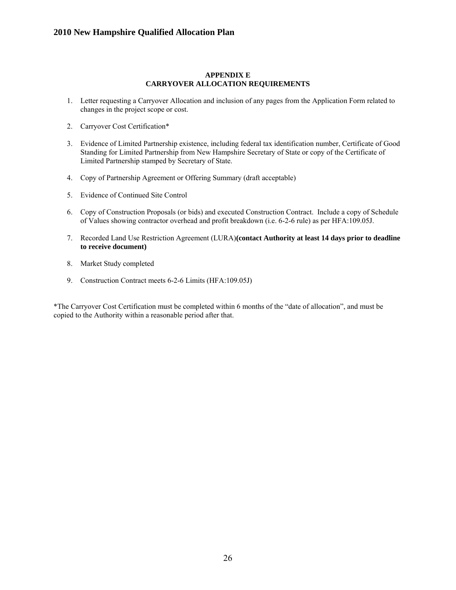#### **APPENDIX E CARRYOVER ALLOCATION REQUIREMENTS**

- 1. Letter requesting a Carryover Allocation and inclusion of any pages from the Application Form related to changes in the project scope or cost.
- 2. Carryover Cost Certification\*
- 3. Evidence of Limited Partnership existence, including federal tax identification number, Certificate of Good Standing for Limited Partnership from New Hampshire Secretary of State or copy of the Certificate of Limited Partnership stamped by Secretary of State.
- 4. Copy of Partnership Agreement or Offering Summary (draft acceptable)
- 5. Evidence of Continued Site Control
- 6. Copy of Construction Proposals (or bids) and executed Construction Contract. Include a copy of Schedule of Values showing contractor overhead and profit breakdown (i.e. 6-2-6 rule) as per HFA:109.05J.
- 7. Recorded Land Use Restriction Agreement (LURA)**(contact Authority at least 14 days prior to deadline to receive document)**
- 8. Market Study completed
- 9. Construction Contract meets 6-2-6 Limits (HFA:109.05J)

\*The Carryover Cost Certification must be completed within 6 months of the "date of allocation", and must be copied to the Authority within a reasonable period after that.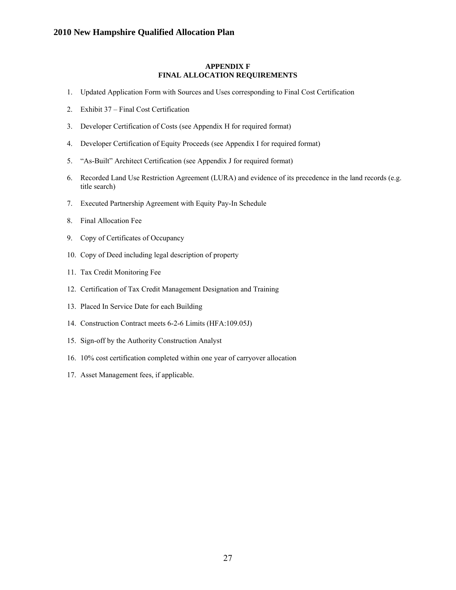#### **APPENDIX F FINAL ALLOCATION REQUIREMENTS**

- 1. Updated Application Form with Sources and Uses corresponding to Final Cost Certification
- 2. Exhibit 37 Final Cost Certification
- 3. Developer Certification of Costs (see Appendix H for required format)
- 4. Developer Certification of Equity Proceeds (see Appendix I for required format)
- 5. "As-Built" Architect Certification (see Appendix J for required format)
- 6. Recorded Land Use Restriction Agreement (LURA) and evidence of its precedence in the land records (e.g. title search)
- 7. Executed Partnership Agreement with Equity Pay-In Schedule
- 8. Final Allocation Fee
- 9. Copy of Certificates of Occupancy
- 10. Copy of Deed including legal description of property
- 11. Tax Credit Monitoring Fee
- 12. Certification of Tax Credit Management Designation and Training
- 13. Placed In Service Date for each Building
- 14. Construction Contract meets 6-2-6 Limits (HFA:109.05J)
- 15. Sign-off by the Authority Construction Analyst
- 16. 10% cost certification completed within one year of carryover allocation
- 17. Asset Management fees, if applicable.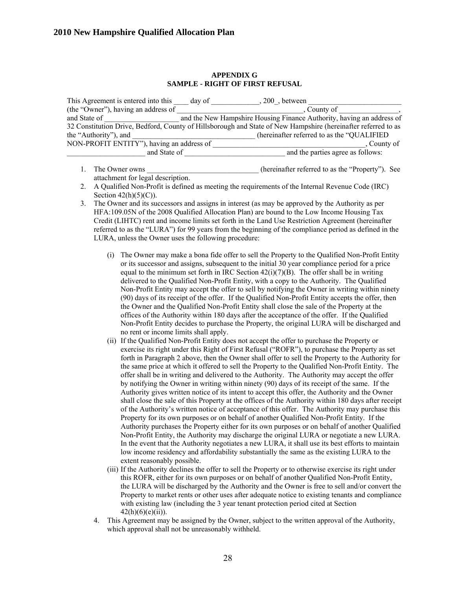#### **APPENDIX G SAMPLE - RIGHT OF FIRST REFUSAL**

| This Agreement is entered into this                                                                           | day of | 200, between                                                          |  |  |
|---------------------------------------------------------------------------------------------------------------|--------|-----------------------------------------------------------------------|--|--|
| (the "Owner"), having an address of                                                                           |        | County of                                                             |  |  |
| and State of                                                                                                  |        | and the New Hampshire Housing Finance Authority, having an address of |  |  |
| 32 Constitution Drive, Bedford, County of Hillsborough and State of New Hampshire (hereinafter referred to as |        |                                                                       |  |  |
| the "Authority"), and                                                                                         |        | (hereinafter referred to as the "QUALIFIED")                          |  |  |
| NON-PROFIT ENTITY"), having an address of                                                                     |        | County of                                                             |  |  |
| and State of                                                                                                  |        | and the parties agree as follows:                                     |  |  |

- 1. The Owner owns the compact of the own state of the inferred to as the "Property"). See attachment for legal description.
- 2. A Qualified Non-Profit is defined as meeting the requirements of the Internal Revenue Code (IRC) Section  $42(h)(5)(C)$ ).
- 3. The Owner and its successors and assigns in interest (as may be approved by the Authority as per HFA:109.05N of the 2008 Qualified Allocation Plan) are bound to the Low Income Housing Tax Credit (LIHTC) rent and income limits set forth in the Land Use Restriction Agreement (hereinafter referred to as the "LURA") for 99 years from the beginning of the compliance period as defined in the LURA, unless the Owner uses the following procedure:
	- (i) The Owner may make a bona fide offer to sell the Property to the Qualified Non-Profit Entity or its successor and assigns, subsequent to the initial 30 year compliance period for a price equal to the minimum set forth in IRC Section  $42(i)(7)(B)$ . The offer shall be in writing delivered to the Qualified Non-Profit Entity, with a copy to the Authority. The Qualified Non-Profit Entity may accept the offer to sell by notifying the Owner in writing within ninety (90) days of its receipt of the offer. If the Qualified Non-Profit Entity accepts the offer, then the Owner and the Qualified Non-Profit Entity shall close the sale of the Property at the offices of the Authority within 180 days after the acceptance of the offer. If the Qualified Non-Profit Entity decides to purchase the Property, the original LURA will be discharged and no rent or income limits shall apply.
	- (ii) If the Qualified Non-Profit Entity does not accept the offer to purchase the Property or exercise its right under this Right of First Refusal ("ROFR"), to purchase the Property as set forth in Paragraph 2 above, then the Owner shall offer to sell the Property to the Authority for the same price at which it offered to sell the Property to the Qualified Non-Profit Entity. The offer shall be in writing and delivered to the Authority. The Authority may accept the offer by notifying the Owner in writing within ninety (90) days of its receipt of the same. If the Authority gives written notice of its intent to accept this offer, the Authority and the Owner shall close the sale of this Property at the offices of the Authority within 180 days after receipt of the Authority's written notice of acceptance of this offer. The Authority may purchase this Property for its own purposes or on behalf of another Qualified Non-Profit Entity. If the Authority purchases the Property either for its own purposes or on behalf of another Qualified Non-Profit Entity, the Authority may discharge the original LURA or negotiate a new LURA. In the event that the Authority negotiates a new LURA, it shall use its best efforts to maintain low income residency and affordability substantially the same as the existing LURA to the extent reasonably possible.
	- (iii) If the Authority declines the offer to sell the Property or to otherwise exercise its right under this ROFR, either for its own purposes or on behalf of another Qualified Non-Profit Entity, the LURA will be discharged by the Authority and the Owner is free to sell and/or convert the Property to market rents or other uses after adequate notice to existing tenants and compliance with existing law (including the 3 year tenant protection period cited at Section  $42(h)(6)(e)(ii)$ ).
	- 4. This Agreement may be assigned by the Owner, subject to the written approval of the Authority, which approval shall not be unreasonably withheld.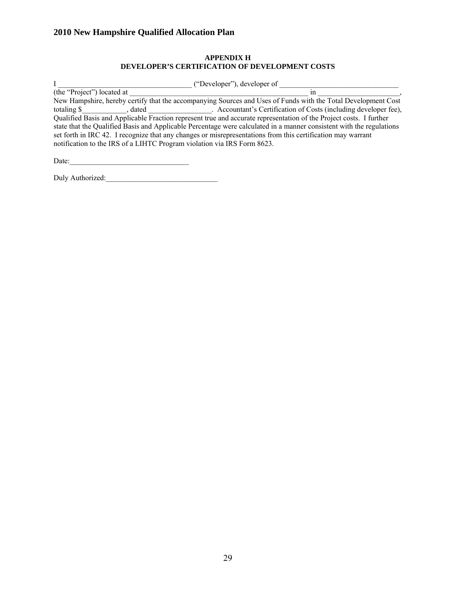## **APPENDIX H DEVELOPER'S CERTIFICATION OF DEVELOPMENT COSTS**

| ("Developer"), developer of                                                                                          |                                                                                                               |  |  |  |  |
|----------------------------------------------------------------------------------------------------------------------|---------------------------------------------------------------------------------------------------------------|--|--|--|--|
| (the "Project") located at                                                                                           | ın                                                                                                            |  |  |  |  |
|                                                                                                                      | New Hampshire, hereby certify that the accompanying Sources and Uses of Funds with the Total Development Cost |  |  |  |  |
| totaling \$<br>dated                                                                                                 | . Accountant's Certification of Costs (including developer fee),                                              |  |  |  |  |
| Qualified Basis and Applicable Fraction represent true and accurate representation of the Project costs. I further   |                                                                                                               |  |  |  |  |
| state that the Qualified Basis and Applicable Percentage were calculated in a manner consistent with the regulations |                                                                                                               |  |  |  |  |
| set forth in IRC 42. I recognize that any changes or misrepresentations from this certification may warrant          |                                                                                                               |  |  |  |  |
| notification to the IRS of a LIHTC Program violation via IRS Form 8623.                                              |                                                                                                               |  |  |  |  |
|                                                                                                                      |                                                                                                               |  |  |  |  |

Date:\_\_\_\_\_\_\_\_\_\_\_\_\_\_\_\_\_\_\_\_\_\_\_\_\_\_\_\_\_\_\_\_ Duly Authorized:\_\_\_\_\_\_\_\_\_\_\_\_\_\_\_\_\_\_\_\_\_\_\_\_\_\_\_\_\_\_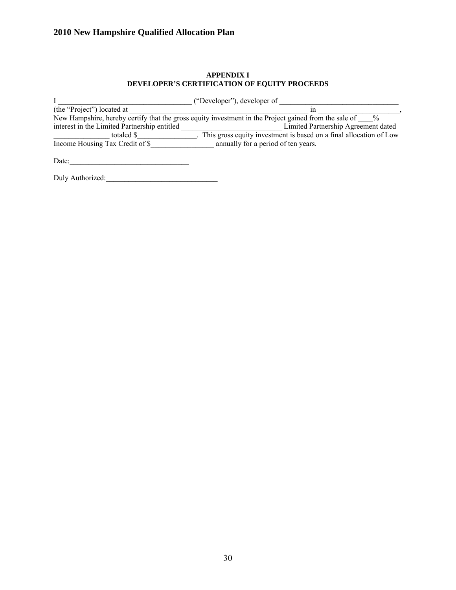## **APPENDIX I DEVELOPER'S CERTIFICATION OF EQUITY PROCEEDS**

|                                              | ("Developer"), developer of                                                                                            |
|----------------------------------------------|------------------------------------------------------------------------------------------------------------------------|
| (the "Project") located at                   | ın                                                                                                                     |
|                                              | New Hampshire, hereby certify that the gross equity investment in the Project gained from the sale of<br>$\frac{0}{0}$ |
| interest in the Limited Partnership entitled | Limited Partnership Agreement dated                                                                                    |
| totaled \$                                   | . This gross equity investment is based on a final allocation of Low                                                   |
| Income Housing Tax Credit of \$              | annually for a period of ten years.                                                                                    |
|                                              |                                                                                                                        |

Date:\_\_\_\_\_\_\_\_\_\_\_\_\_\_\_\_\_\_\_\_\_\_\_\_\_\_\_\_\_\_\_\_

Duly Authorized:\_\_\_\_\_\_\_\_\_\_\_\_\_\_\_\_\_\_\_\_\_\_\_\_\_\_\_\_\_\_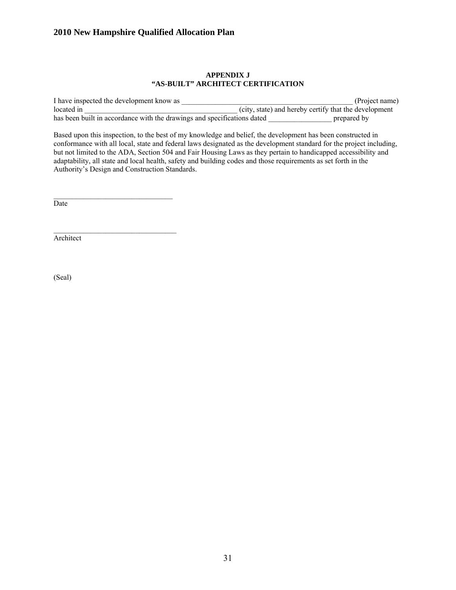#### **APPENDIX J "AS-BUILT" ARCHITECT CERTIFICATION**

I have inspected the development know as  $(Project name)$ located in  $\qquad \qquad$  (city, state) and hereby certify that the development has been built in accordance with the drawings and specifications dated **expansion** prepared by

Based upon this inspection, to the best of my knowledge and belief, the development has been constructed in conformance with all local, state and federal laws designated as the development standard for the project including, but not limited to the ADA, Section 504 and Fair Housing Laws as they pertain to handicapped accessibility and adaptability, all state and local health, safety and building codes and those requirements as set forth in the Authority's Design and Construction Standards.

Date

Architect

(Seal)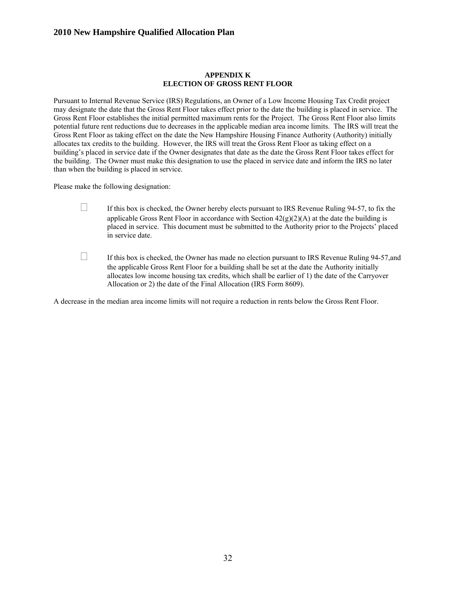#### **APPENDIX K ELECTION OF GROSS RENT FLOOR**

Pursuant to Internal Revenue Service (IRS) Regulations, an Owner of a Low Income Housing Tax Credit project may designate the date that the Gross Rent Floor takes effect prior to the date the building is placed in service. The Gross Rent Floor establishes the initial permitted maximum rents for the Project. The Gross Rent Floor also limits potential future rent reductions due to decreases in the applicable median area income limits. The IRS will treat the Gross Rent Floor as taking effect on the date the New Hampshire Housing Finance Authority (Authority) initially allocates tax credits to the building. However, the IRS will treat the Gross Rent Floor as taking effect on a building's placed in service date if the Owner designates that date as the date the Gross Rent Floor takes effect for the building. The Owner must make this designation to use the placed in service date and inform the IRS no later than when the building is placed in service.

Please make the following designation:

- $\Box$  If this box is checked, the Owner hereby elects pursuant to IRS Revenue Ruling 94-57, to fix the applicable Gross Rent Floor in accordance with Section  $42(g)(2)(A)$  at the date the building is placed in service. This document must be submitted to the Authority prior to the Projects' placed in service date.
- $\Box$  If this box is checked, the Owner has made no election pursuant to IRS Revenue Ruling 94-57, and the applicable Gross Rent Floor for a building shall be set at the date the Authority initially allocates low income housing tax credits, which shall be earlier of 1) the date of the Carryover Allocation or 2) the date of the Final Allocation (IRS Form 8609).

A decrease in the median area income limits will not require a reduction in rents below the Gross Rent Floor.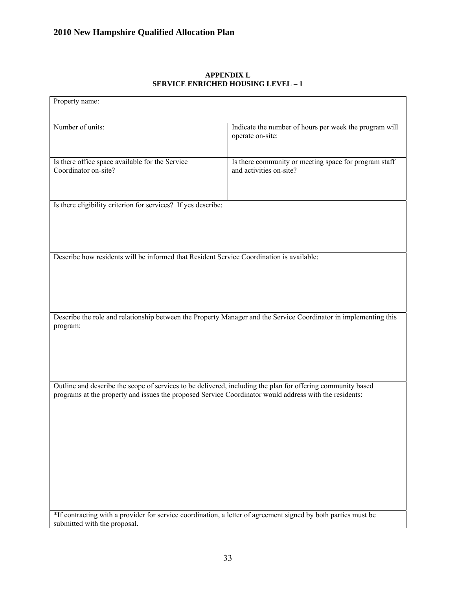| Property name:                                                                                                                                                                                                        |                                                                                  |  |  |  |  |
|-----------------------------------------------------------------------------------------------------------------------------------------------------------------------------------------------------------------------|----------------------------------------------------------------------------------|--|--|--|--|
|                                                                                                                                                                                                                       |                                                                                  |  |  |  |  |
| Number of units:                                                                                                                                                                                                      | Indicate the number of hours per week the program will<br>operate on-site:       |  |  |  |  |
| Is there office space available for the Service<br>Coordinator on-site?                                                                                                                                               | Is there community or meeting space for program staff<br>and activities on-site? |  |  |  |  |
| Is there eligibility criterion for services? If yes describe:                                                                                                                                                         |                                                                                  |  |  |  |  |
| Describe how residents will be informed that Resident Service Coordination is available:                                                                                                                              |                                                                                  |  |  |  |  |
|                                                                                                                                                                                                                       |                                                                                  |  |  |  |  |
| Describe the role and relationship between the Property Manager and the Service Coordinator in implementing this<br>program:                                                                                          |                                                                                  |  |  |  |  |
| Outline and describe the scope of services to be delivered, including the plan for offering community based<br>programs at the property and issues the proposed Service Coordinator would address with the residents: |                                                                                  |  |  |  |  |
| *If contracting with a provider for service coordination, a letter of agreement signed by both parties must be<br>submitted with the proposal.                                                                        |                                                                                  |  |  |  |  |

## **APPENDIX L SERVICE ENRICHED HOUSING LEVEL – 1**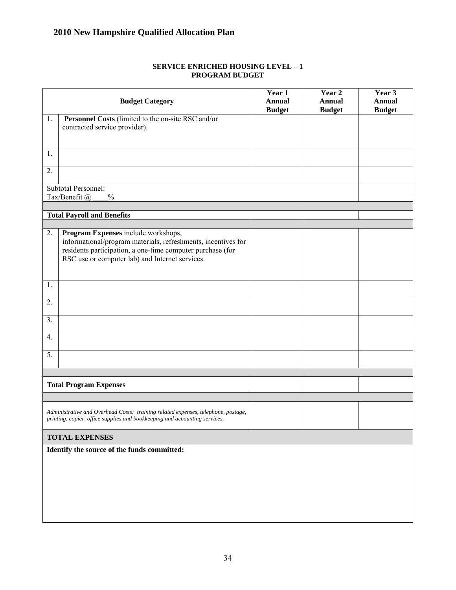|                                             | <b>Budget Category</b>                                                                                                                                                                                                | Year 1<br><b>Annual</b><br><b>Budget</b> | Year 2<br><b>Annual</b><br><b>Budget</b> | Year 3<br><b>Annual</b><br><b>Budget</b> |
|---------------------------------------------|-----------------------------------------------------------------------------------------------------------------------------------------------------------------------------------------------------------------------|------------------------------------------|------------------------------------------|------------------------------------------|
| 1.                                          | Personnel Costs (limited to the on-site RSC and/or<br>contracted service provider).                                                                                                                                   |                                          |                                          |                                          |
|                                             |                                                                                                                                                                                                                       |                                          |                                          |                                          |
| 1.                                          |                                                                                                                                                                                                                       |                                          |                                          |                                          |
| 2.                                          |                                                                                                                                                                                                                       |                                          |                                          |                                          |
|                                             | Subtotal Personnel:                                                                                                                                                                                                   |                                          |                                          |                                          |
|                                             | $\overline{\frac{0}{0}}$<br>Tax/Benefit @                                                                                                                                                                             |                                          |                                          |                                          |
|                                             | <b>Total Payroll and Benefits</b>                                                                                                                                                                                     |                                          |                                          |                                          |
| 2.                                          | Program Expenses include workshops,<br>informational/program materials, refreshments, incentives for<br>residents participation, a one-time computer purchase (for<br>RSC use or computer lab) and Internet services. |                                          |                                          |                                          |
| 1.                                          |                                                                                                                                                                                                                       |                                          |                                          |                                          |
| 2.                                          |                                                                                                                                                                                                                       |                                          |                                          |                                          |
| 3.                                          |                                                                                                                                                                                                                       |                                          |                                          |                                          |
| 4.                                          |                                                                                                                                                                                                                       |                                          |                                          |                                          |
| 5.                                          |                                                                                                                                                                                                                       |                                          |                                          |                                          |
|                                             |                                                                                                                                                                                                                       |                                          |                                          |                                          |
|                                             | <b>Total Program Expenses</b>                                                                                                                                                                                         |                                          |                                          |                                          |
|                                             |                                                                                                                                                                                                                       |                                          |                                          |                                          |
|                                             | Administrative and Overhead Costs: training related expenses, telephone, postage,<br>printing, copier, office supplies and bookkeeping and accounting services.                                                       |                                          |                                          |                                          |
| <b>TOTAL EXPENSES</b>                       |                                                                                                                                                                                                                       |                                          |                                          |                                          |
| Identify the source of the funds committed: |                                                                                                                                                                                                                       |                                          |                                          |                                          |
|                                             |                                                                                                                                                                                                                       |                                          |                                          |                                          |
|                                             |                                                                                                                                                                                                                       |                                          |                                          |                                          |
|                                             |                                                                                                                                                                                                                       |                                          |                                          |                                          |
|                                             |                                                                                                                                                                                                                       |                                          |                                          |                                          |

#### **SERVICE ENRICHED HOUSING LEVEL – 1 PROGRAM BUDGET**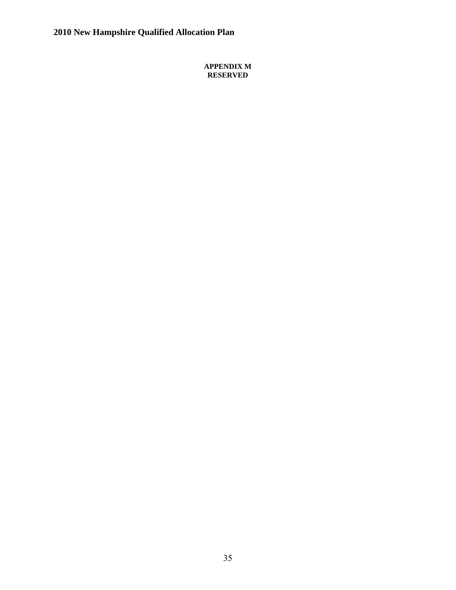**APPENDIX M RESERVED**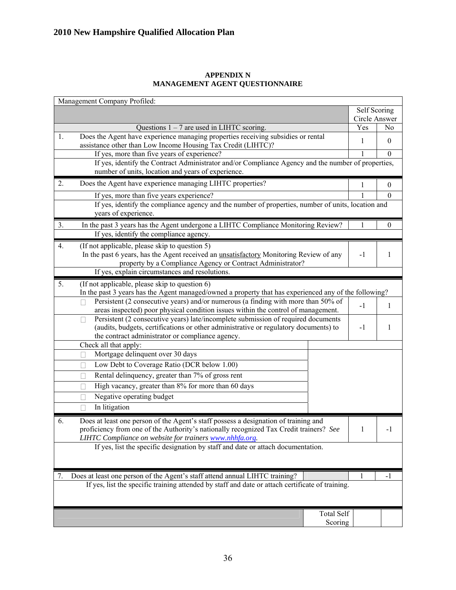|    | Management Company Profiled:                                                                                                                                                                                                             |               |                |
|----|------------------------------------------------------------------------------------------------------------------------------------------------------------------------------------------------------------------------------------------|---------------|----------------|
|    |                                                                                                                                                                                                                                          | Self Scoring  |                |
|    |                                                                                                                                                                                                                                          | Circle Answer |                |
|    | Questions $1 - 7$ are used in LIHTC scoring.                                                                                                                                                                                             | Yes           | N <sub>0</sub> |
| 1. | Does the Agent have experience managing properties receiving subsidies or rental<br>assistance other than Low Income Housing Tax Credit (LIHTC)?                                                                                         | 1             | $\theta$       |
|    | If yes, more than five years of experience?                                                                                                                                                                                              |               | $\theta$       |
|    | If yes, identify the Contract Administrator and/or Compliance Agency and the number of properties,<br>number of units, location and years of experience.                                                                                 |               |                |
| 2. | Does the Agent have experience managing LIHTC properties?                                                                                                                                                                                | 1             | $\mathbf{0}$   |
|    | If yes, more than five years experience?                                                                                                                                                                                                 |               | $\mathbf{0}$   |
|    | If yes, identify the compliance agency and the number of properties, number of units, location and<br>years of experience.                                                                                                               |               |                |
| 3. | In the past 3 years has the Agent undergone a LIHTC Compliance Monitoring Review?                                                                                                                                                        | 1             | $\theta$       |
|    | If yes, identify the compliance agency.                                                                                                                                                                                                  |               |                |
| 4. | (If not applicable, please skip to question 5)                                                                                                                                                                                           |               |                |
|    | In the past 6 years, has the Agent received an <i>unsatisfactory</i> Monitoring Review of any                                                                                                                                            | $-1$          | 1              |
|    | property by a Compliance Agency or Contract Administrator?                                                                                                                                                                               |               |                |
|    | If yes, explain circumstances and resolutions.                                                                                                                                                                                           |               |                |
| 5. | (If not applicable, please skip to question 6)<br>In the past 3 years has the Agent managed/owned a property that has experienced any of the following?                                                                                  |               |                |
|    | Persistent (2 consecutive years) and/or numerous (a finding with more than 50% of                                                                                                                                                        |               |                |
|    | areas inspected) poor physical condition issues within the control of management.                                                                                                                                                        | $-1$          | 1              |
|    | Persistent (2 consecutive years) late/incomplete submission of required documents                                                                                                                                                        |               |                |
|    | (audits, budgets, certifications or other administrative or regulatory documents) to                                                                                                                                                     | $-1$          | 1              |
|    | the contract administrator or compliance agency.                                                                                                                                                                                         |               |                |
|    | Check all that apply:                                                                                                                                                                                                                    |               |                |
|    | Mortgage delinquent over 30 days                                                                                                                                                                                                         |               |                |
|    | Low Debt to Coverage Ratio (DCR below 1.00)                                                                                                                                                                                              |               |                |
|    | Rental delinquency, greater than 7% of gross rent                                                                                                                                                                                        |               |                |
|    | High vacancy, greater than 8% for more than 60 days                                                                                                                                                                                      |               |                |
|    | Negative operating budget                                                                                                                                                                                                                |               |                |
|    | In litigation                                                                                                                                                                                                                            |               |                |
| 6. | Does at least one person of the Agent's staff possess a designation of training and<br>proficiency from one of the Authority's nationally recognized Tax Credit trainers? See<br>LIHTC Compliance on website for trainers www.nhhfa.org. | $\perp$       | -1             |
|    | If yes, list the specific designation by staff and date or attach documentation.                                                                                                                                                         |               |                |
| 7. | Does at least one person of the Agent's staff attend annual LIHTC training?                                                                                                                                                              | 1             | $-1$           |
|    | If yes, list the specific training attended by staff and date or attach certificate of training.                                                                                                                                         |               |                |
|    | Total Self                                                                                                                                                                                                                               |               |                |
|    | Scoring                                                                                                                                                                                                                                  |               |                |
|    |                                                                                                                                                                                                                                          |               |                |

## **APPENDIX N MANAGEMENT AGENT QUESTIONNAIRE**